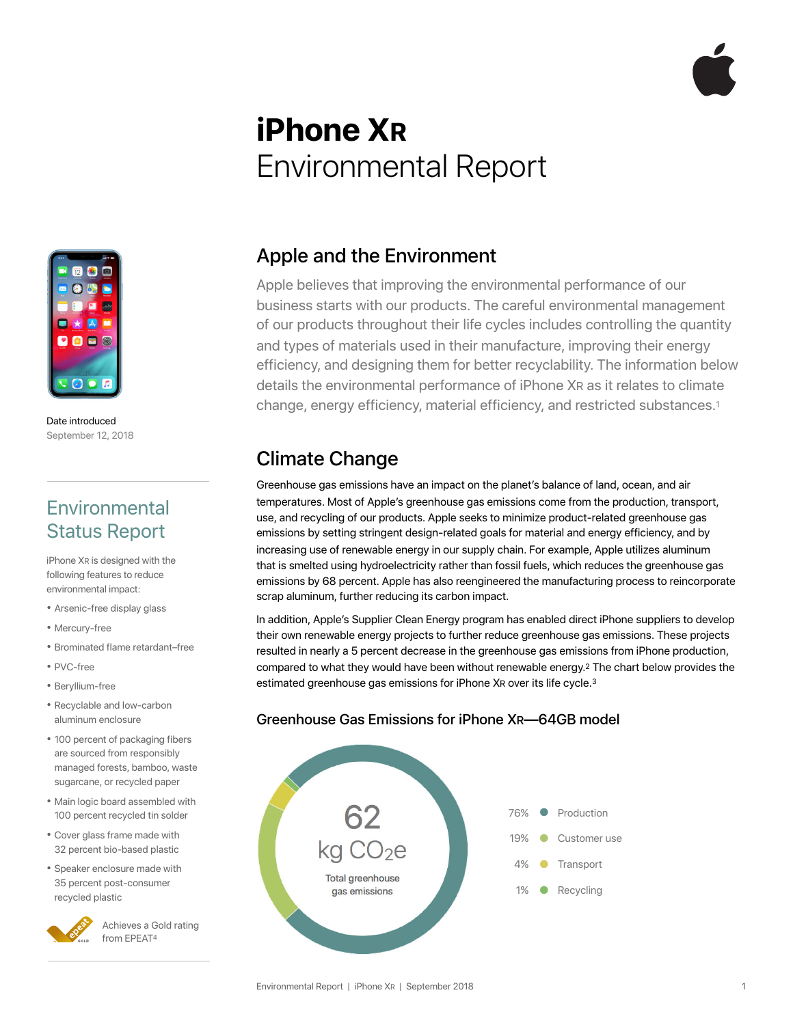# **iPhone XR** Environmental Report



Date introduced September 12, 2018

### **Environmental** Status Report

iPhone XR is designed with the following features to reduce environmental impact:

- Arsenic-free display glass
- Mercury-free
- Brominated flame retardant–free
- PVC-free
- Beryllium-free
- Recyclable and low-carbon aluminum enclosure
- 100 percent of packaging fibers are sourced from responsibly managed forests, bamboo, waste sugarcane, or recycled paper
- Main logic board assembled with 100 percent recycled tin solder
- Cover glass frame made with 32 percent bio-based plastic
- Speaker enclosure made with 35 percent post-consumer recycled plastic



Achieves a Gold rating from EPEAT4

### Apple and the Environment

Apple believes that improving the environmental performance of our business starts with our products. The careful environmental management of our products throughout their life cycles includes controlling the quantity and types of materials used in their manufacture, improving their energy efficiency, and designing them for better recyclability. The information below details the environmental performance of iPhone XR as it relates to climate change, energy efficiency, material efficiency, and restricted substances.1

### Climate Change

Greenhouse gas emissions have an impact on the planet's balance of land, ocean, and air temperatures. Most of Apple's greenhouse gas emissions come from the production, transport, use, and recycling of our products. Apple seeks to minimize product-related greenhouse gas emissions by setting stringent design-related goals for material and energy efficiency, and by increasing use of renewable energy in our supply chain. For example, Apple utilizes aluminum that is smelted using hydroelectricity rather than fossil fuels, which reduces the greenhouse gas emissions by 68 percent. Apple has also reengineered the manufacturing process to reincorporate scrap aluminum, further reducing its carbon impact.

In addition, Apple's Supplier Clean Energy program has enabled direct iPhone suppliers to develop their own renewable energy projects to further reduce greenhouse gas emissions. These projects resulted in nearly a 5 percent decrease in the greenhouse gas emissions from iPhone production, compared to what they would have been without renewable energy.2 The chart below provides the estimated greenhouse gas emissions for iPhone XR over its life cycle.<sup>3</sup>

# 62 Total greenhouse gas emissions 76% ⦁ Production 19% Customer use 4% **·** Transport 1% • Recycling

#### Greenhouse Gas Emissions for iPhone XR—64GB model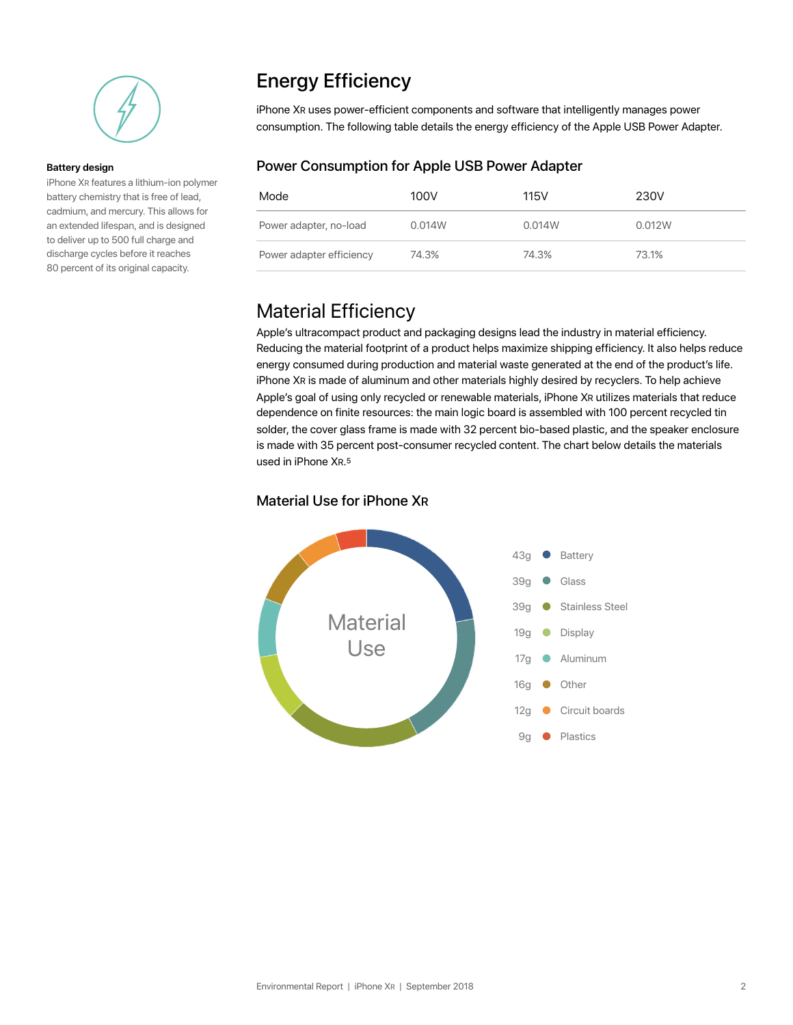

#### **Battery design**

iPhone XR features a lithium-ion polymer battery chemistry that is free of lead, cadmium, and mercury. This allows for an extended lifespan, and is designed to deliver up to 500 full charge and discharge cycles before it reaches 80 percent of its original capacity.

### Energy Efficiency

iPhone XR uses power-efficient components and software that intelligently manages power consumption. The following table details the energy efficiency of the Apple USB Power Adapter.

#### Power Consumption for Apple USB Power Adapter

| Mode                     | 100V   | 115V   | 230V   |
|--------------------------|--------|--------|--------|
| Power adapter, no-load   | 0.014W | 0.014W | 0.012W |
| Power adapter efficiency | 74.3%  | 74.3%  | 73.1%  |

### Material Efficiency

Apple's ultracompact product and packaging designs lead the industry in material efficiency. Reducing the material footprint of a product helps maximize shipping efficiency. It also helps reduce energy consumed during production and material waste generated at the end of the product's life. iPhone XR is made of aluminum and other materials highly desired by recyclers. To help achieve Apple's goal of using only recycled or renewable materials, iPhone XR utilizes materials that reduce dependence on finite resources: the main logic board is assembled with 100 percent recycled tin solder, the cover glass frame is made with 32 percent bio-based plastic, and the speaker enclosure is made with 35 percent post-consumer recycled content. The chart below details the materials used in iPhone XR.5

#### Material Use for iPhone XR

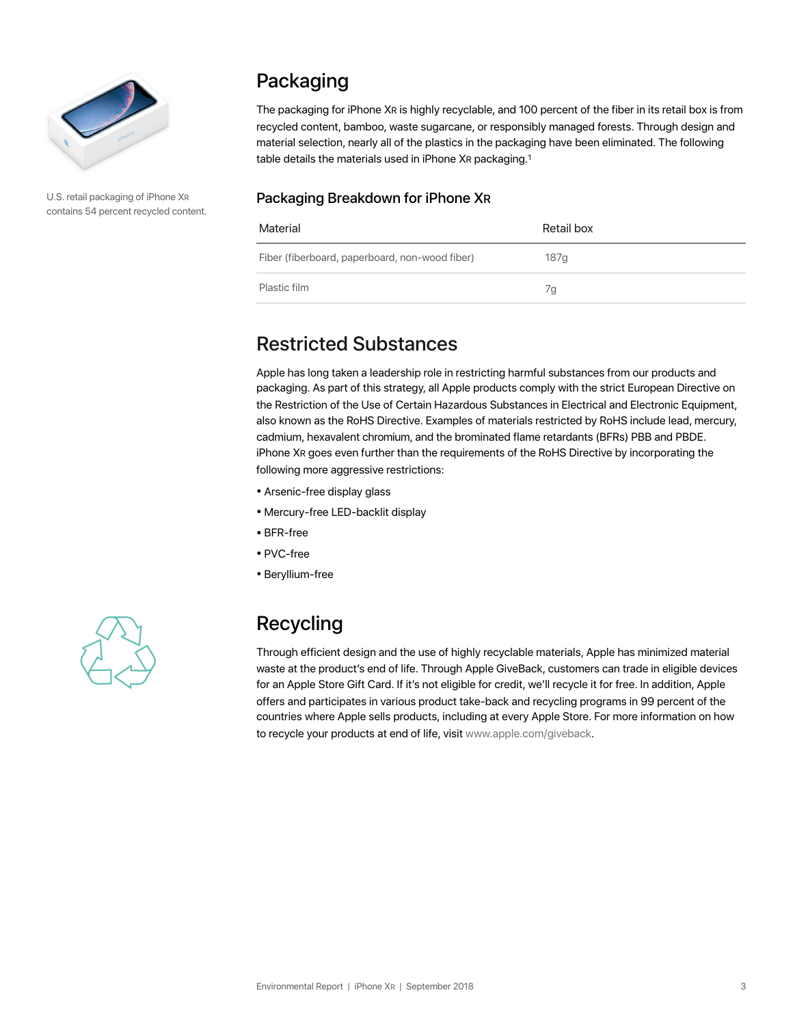

U.S. retail packaging of iPhone XR contains 54 percent recycled content.

### Packaging

The packaging for iPhone XR is highly recyclable, and 100 percent of the fiber in its retail box is from recycled content, bamboo, waste sugarcane, or responsibly managed forests. Through design and material selection, nearly all of the plastics in the packaging have been eliminated. The following table details the materials used in iPhone XR packaging.<sup>1</sup>

#### Packaging Breakdown for iPhone XR

| Material                                       | Retail box |
|------------------------------------------------|------------|
| Fiber (fiberboard, paperboard, non-wood fiber) | 187q       |
| Plastic film                                   | 7q         |

### Restricted Substances

Apple has long taken a leadership role in restricting harmful substances from our products and packaging. As part of this strategy, all Apple products comply with the strict European Directive on the Restriction of the Use of Certain Hazardous Substances in Electrical and Electronic Equipment, also known as the RoHS Directive. Examples of materials restricted by RoHS include lead, mercury, cadmium, hexavalent chromium, and the brominated flame retardants (BFRs) PBB and PBDE. iPhone XR goes even further than the requirements of the RoHS Directive by incorporating the following more aggressive restrictions:

- Arsenic-free display glass
- Mercury-free LED-backlit display
- BFR-free
- PVC-free
- Beryllium-free



## Recycling

Through efficient design and the use of highly recyclable materials, Apple has minimized material waste at the product's end of life. Through Apple GiveBack, customers can trade in eligible devices for an Apple Store Gift Card. If it's not eligible for credit, we'll recycle it for free. In addition, Apple offers and participates in various product take-back and recycling programs in 99 percent of the countries where Apple sells products, including at every Apple Store. For more information on how to recycle your products at end of life, visit [www.apple.com/giveback.](http://www.apple.com/giveback)